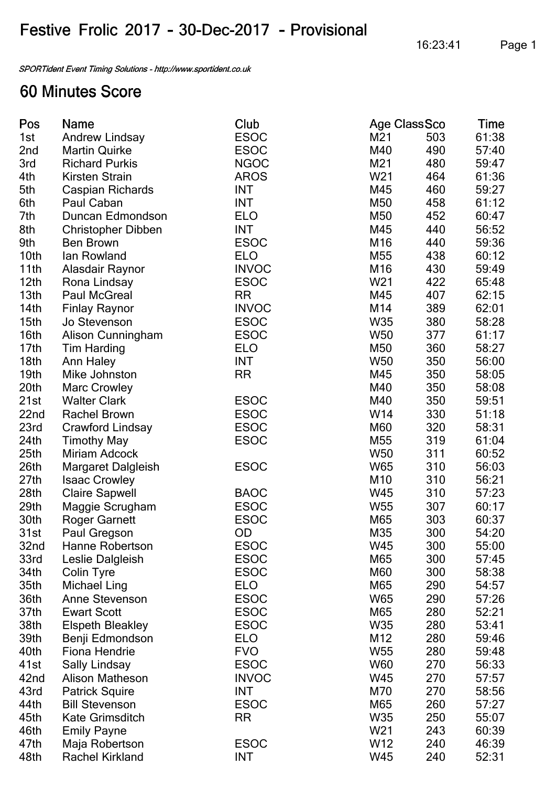## Festive Frolic 2017 - 30-Dec-2017 - Provisional

SPORTident Event Timing Solutions - http://www.sportident.co.uk

## **60 Minutes Score**

| Pos              | <b>Name</b>               | Club         | <b>Age Class Sco</b> |     | Time  |
|------------------|---------------------------|--------------|----------------------|-----|-------|
| 1st              | <b>Andrew Lindsay</b>     | <b>ESOC</b>  | M21                  | 503 | 61:38 |
| 2nd              | <b>Martin Quirke</b>      | <b>ESOC</b>  | M40                  | 490 | 57:40 |
| 3rd              | <b>Richard Purkis</b>     | <b>NGOC</b>  | M21                  | 480 | 59:47 |
| 4th              | <b>Kirsten Strain</b>     | <b>AROS</b>  | W <sub>21</sub>      | 464 | 61:36 |
| 5th              | <b>Caspian Richards</b>   | <b>INT</b>   | M45                  | 460 | 59:27 |
| 6th              | Paul Caban                | <b>INT</b>   | M50                  | 458 | 61:12 |
| 7th              | Duncan Edmondson          | <b>ELO</b>   | M50                  | 452 | 60:47 |
| 8th              | <b>Christopher Dibben</b> | INT          | M45                  | 440 | 56:52 |
| 9th              | <b>Ben Brown</b>          | <b>ESOC</b>  | M16                  | 440 | 59:36 |
| 10 <sub>th</sub> | lan Rowland               | <b>ELO</b>   | M <sub>55</sub>      | 438 | 60:12 |
| 11th             | Alasdair Raynor           | <b>INVOC</b> | M16                  | 430 | 59:49 |
| 12 <sub>th</sub> | Rona Lindsay              | <b>ESOC</b>  | W <sub>21</sub>      | 422 | 65:48 |
| 13 <sub>th</sub> | <b>Paul McGreal</b>       | RR           | M45                  | 407 | 62:15 |
| 14 <sub>th</sub> | <b>Finlay Raynor</b>      | <b>INVOC</b> | M14                  | 389 | 62:01 |
| 15 <sub>th</sub> | Jo Stevenson              | <b>ESOC</b>  | <b>W35</b>           | 380 | 58:28 |
| 16 <sub>th</sub> | <b>Alison Cunningham</b>  | <b>ESOC</b>  | <b>W50</b>           | 377 | 61:17 |
| 17 <sub>th</sub> | <b>Tim Harding</b>        | <b>ELO</b>   | M50                  | 360 | 58:27 |
| 18 <sub>th</sub> | Ann Haley                 | <b>INT</b>   | <b>W50</b>           | 350 | 56:00 |
| 19 <sub>th</sub> | Mike Johnston             | <b>RR</b>    | M45                  | 350 | 58:05 |
| 20th             | <b>Marc Crowley</b>       |              | M40                  | 350 | 58:08 |
| 21st             | <b>Walter Clark</b>       | <b>ESOC</b>  | M40                  | 350 | 59:51 |
| 22nd             | <b>Rachel Brown</b>       | <b>ESOC</b>  | W14                  | 330 | 51:18 |
| 23rd             | <b>Crawford Lindsay</b>   | <b>ESOC</b>  | <b>M60</b>           | 320 | 58:31 |
| 24th             | <b>Timothy May</b>        | <b>ESOC</b>  | M <sub>55</sub>      | 319 | 61:04 |
| 25 <sub>th</sub> | <b>Miriam Adcock</b>      |              | <b>W50</b>           | 311 | 60:52 |
| 26 <sub>th</sub> | Margaret Dalgleish        | <b>ESOC</b>  | W65                  | 310 | 56:03 |
| 27th             | <b>Isaac Crowley</b>      |              | M10                  | 310 | 56:21 |
| 28 <sub>th</sub> | <b>Claire Sapwell</b>     | <b>BAOC</b>  | W45                  | 310 | 57:23 |
| 29 <sub>th</sub> | Maggie Scrugham           | <b>ESOC</b>  | W55                  | 307 | 60:17 |
| 30th             | <b>Roger Garnett</b>      | <b>ESOC</b>  | M65                  | 303 | 60:37 |
| 31st             | Paul Gregson              | OD           | M35                  | 300 | 54:20 |
| 32nd             | <b>Hanne Robertson</b>    | <b>ESOC</b>  | W45                  | 300 | 55:00 |
| 33rd             | Leslie Dalgleish          | <b>ESOC</b>  | M65                  | 300 | 57:45 |
| 34th             | <b>Colin Tyre</b>         | <b>ESOC</b>  | M60                  | 300 | 58:38 |
| 35th             | <b>Michael Ling</b>       | <b>ELO</b>   | M65                  | 290 | 54:57 |
| 36th             | <b>Anne Stevenson</b>     | <b>ESOC</b>  | W65                  | 290 | 57:26 |
| 37th             | <b>Ewart Scott</b>        | <b>ESOC</b>  | M65                  | 280 | 52:21 |
| 38th             | <b>Elspeth Bleakley</b>   | <b>ESOC</b>  | W35                  | 280 | 53:41 |
| 39th             | Benji Edmondson           | <b>ELO</b>   | M12                  | 280 | 59:46 |
| 40th             | <b>Fiona Hendrie</b>      | <b>FVO</b>   | W <sub>55</sub>      | 280 | 59:48 |
| 41st             | <b>Sally Lindsay</b>      | <b>ESOC</b>  | <b>W60</b>           | 270 | 56:33 |
| 42nd             | <b>Alison Matheson</b>    | <b>INVOC</b> | W45                  | 270 | 57:57 |
| 43rd             | <b>Patrick Squire</b>     | <b>INT</b>   | M70                  | 270 | 58:56 |
| 44th             | <b>Bill Stevenson</b>     | <b>ESOC</b>  | M65                  | 260 | 57:27 |
| 45th             | <b>Kate Grimsditch</b>    | <b>RR</b>    | W35                  | 250 | 55:07 |
| 46th             | <b>Emily Payne</b>        |              | W <sub>21</sub>      | 243 | 60:39 |
| 47th             | Maja Robertson            | <b>ESOC</b>  | W12                  | 240 | 46:39 |
| 48th             | <b>Rachel Kirkland</b>    | <b>INT</b>   | W45                  | 240 | 52:31 |